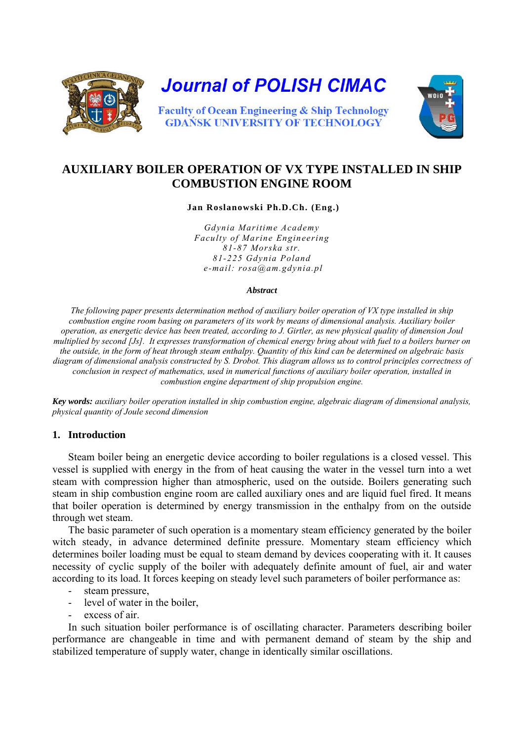

# **AUXILIARY BOILER OPERATION OF VX TYPE INSTALLED IN SHIP COMBUSTION ENGINE ROOM**

 **Jan Roslanowski Ph.D.Ch. (Eng.)** 

*Gdynia Maritime Academy Faculty of Marine Engineering 81-87 Morska str. 81-225 Gdynia Poland e-mail: rosa@am.gdynia.pl* 

#### *Abstract*

*The following paper presents determination method of auxiliary boiler operation of VX type installed in ship combustion engine room basing on parameters of its work by means of dimensional analysis. Auxiliary boiler operation, as energetic device has been treated, according to J. Girtler, as new physical quality of dimension Joul multiplied by second [Js]. It expresses transformation of chemical energy bring about with fuel to a boilers burner on the outside, in the form of heat through steam enthalpy. Quantity of this kind can be determined on algebraic basis diagram of dimensional analysis constructed by S. Drobot. This diagram allows us to control principles correctness of conclusion in respect of mathematics, used in numerical functions of auxiliary boiler operation, installed in combustion engine department of ship propulsion engine.* 

*Key words: auxiliary boiler operation installed in ship combustion engine, algebraic diagram of dimensional analysis, physical quantity of Joule second dimension* 

## **1. Introduction**

Steam boiler being an energetic device according to boiler regulations is a closed vessel. This vessel is supplied with energy in the from of heat causing the water in the vessel turn into a wet steam with compression higher than atmospheric, used on the outside. Boilers generating such steam in ship combustion engine room are called auxiliary ones and are liquid fuel fired. It means that boiler operation is determined by energy transmission in the enthalpy from on the outside through wet steam.

The basic parameter of such operation is a momentary steam efficiency generated by the boiler witch steady, in advance determined definite pressure. Momentary steam efficiency which determines boiler loading must be equal to steam demand by devices cooperating with it. It causes necessity of cyclic supply of the boiler with adequately definite amount of fuel, air and water according to its load. It forces keeping on steady level such parameters of boiler performance as:

- steam pressure,
- level of water in the boiler,
- excess of air

In such situation boiler performance is of oscillating character. Parameters describing boiler performance are changeable in time and with permanent demand of steam by the ship and stabilized temperature of supply water, change in identically similar oscillations.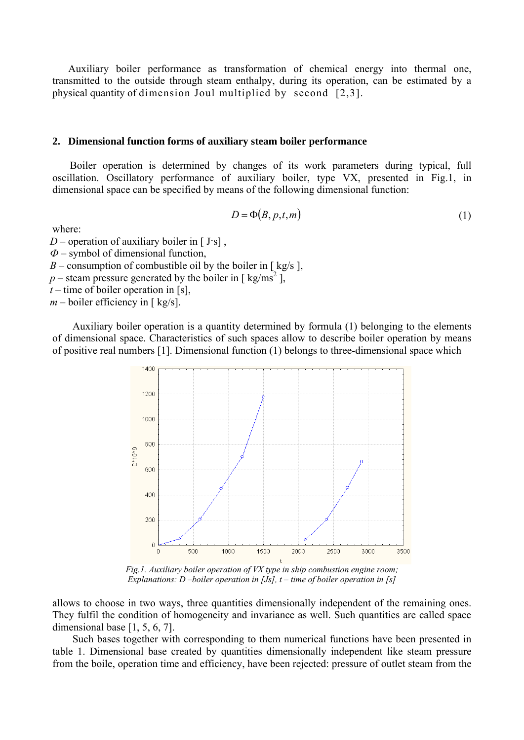Auxiliary boiler performance as transformation of chemical energy into thermal one, transmitted to the outside through steam enthalpy, during its operation, can be estimated by a physical quantity of dimension Joul multiplied by second [2,3].

### **2. Dimensional function forms of auxiliary steam boiler performance**

Boiler operation is determined by changes of its work parameters during typical, full oscillation. Oscillatory performance of auxiliary boiler, type VX, presented in Fig.1, in dimensional space can be specified by means of the following dimensional function:

$$
D = \Phi(B, p, t, m) \tag{1}
$$

where:

 $D$  – operation of auxiliary boiler in [ J·s],

*Ф* – symbol of dimensional function,

*B* – consumption of combustible oil by the boiler in [ $kg/s$ ].

 $p$  – steam pressure generated by the boiler in [ kg/ms<sup>2</sup>],

*t –* time of boiler operation in [s],

 $m$  – boiler efficiency in [ kg/s].

Auxiliary boiler operation is a quantity determined by formula (1) belonging to the elements of dimensional space. Characteristics of such spaces allow to describe boiler operation by means of positive real numbers [1]. Dimensional function (1) belongs to three-dimensional space which



*Fig.1. Auxiliary boiler operation of VX type in ship combustion engine room; Explanations: D –boiler operation in [Js], t – time of boiler operation in [s]* 

allows to choose in two ways, three quantities dimensionally independent of the remaining ones. They fulfil the condition of homogeneity and invariance as well. Such quantities are called space dimensional base [1, 5, 6, 7].

Such bases together with corresponding to them numerical functions have been presented in table 1. Dimensional base created by quantities dimensionally independent like steam pressure from the boile, operation time and efficiency, have been rejected: pressure of outlet steam from the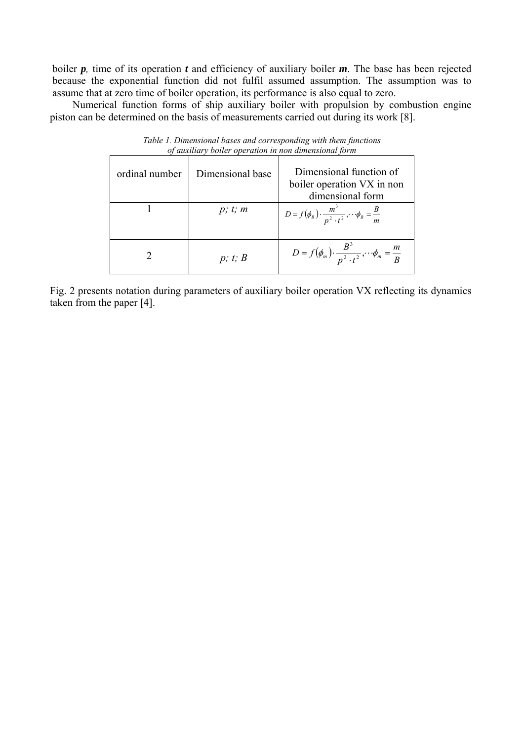boiler  $p$ , time of its operation  $t$  and efficiency of auxiliary boiler  $m$ . The base has been rejected because the exponential function did not fulfil assumed assumption. The assumption was to assume that at zero time of boiler operation, its performance is also equal to zero.

 Numerical function forms of ship auxiliary boiler with propulsion by combustion engine piston can be determined on the basis of measurements carried out during its work [8].

| of auxiliary botter operation in non-almensional form |                                                                                               |                                                                              |  |  |  |  |
|-------------------------------------------------------|-----------------------------------------------------------------------------------------------|------------------------------------------------------------------------------|--|--|--|--|
| ordinal number                                        | Dimensional function of<br>Dimensional base<br>boiler operation VX in non<br>dimensional form |                                                                              |  |  |  |  |
|                                                       | p; t; m                                                                                       | $D = f(\phi_B) \cdot \frac{m^3}{n^2 \cdot t^2}, \cdots \phi_B = \frac{B}{m}$ |  |  |  |  |
|                                                       | p; t; B                                                                                       | $D = f(\phi_m) \cdot \frac{B^3}{n^2 \cdot t^2}, \cdots \phi_m = \frac{m}{B}$ |  |  |  |  |

*Table 1. Dimensional bases and corresponding with them functions of auxiliary boiler operation in non dimensional form*

Fig. 2 presents notation during parameters of auxiliary boiler operation VX reflecting its dynamics taken from the paper [4].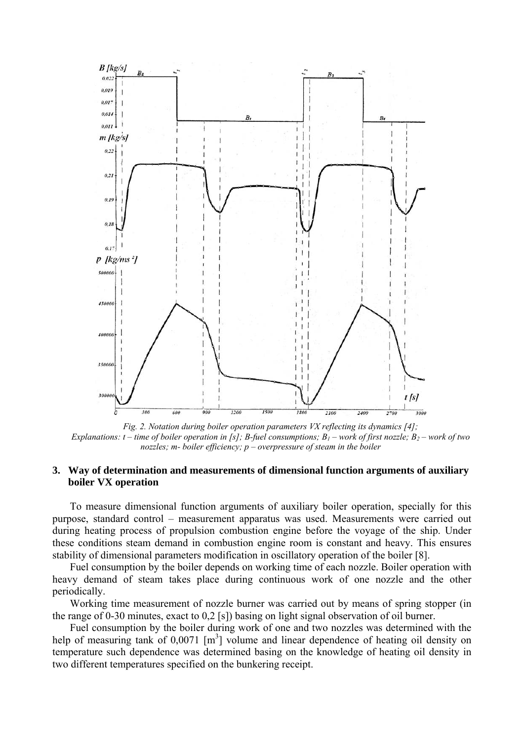

*Fig. 2. Notation during boiler operation parameters VX reflecting its dynamics [4]; Explanations: t – time of boiler operation in [s]; B-fuel consumptions; B<sub>1</sub> – work of first nozzle; B<sub>2</sub> – work of two nozzles; m- boiler efficiency; p – overpressure of steam in the boiler*

#### **3. Way of determination and measurements of dimensional function arguments of auxiliary boiler VX operation**

To measure dimensional function arguments of auxiliary boiler operation, specially for this purpose, standard control – measurement apparatus was used. Measurements were carried out during heating process of propulsion combustion engine before the voyage of the ship. Under these conditions steam demand in combustion engine room is constant and heavy. This ensures stability of dimensional parameters modification in oscillatory operation of the boiler [8].

Fuel consumption by the boiler depends on working time of each nozzle. Boiler operation with heavy demand of steam takes place during continuous work of one nozzle and the other periodically.

Working time measurement of nozzle burner was carried out by means of spring stopper (in the range of 0-30 minutes, exact to 0,2 [s]) basing on light signal observation of oil burner.

Fuel consumption by the boiler during work of one and two nozzles was determined with the help of measuring tank of  $0.0071$  [m<sup>3</sup>] volume and linear dependence of heating oil density on temperature such dependence was determined basing on the knowledge of heating oil density in two different temperatures specified on the bunkering receipt.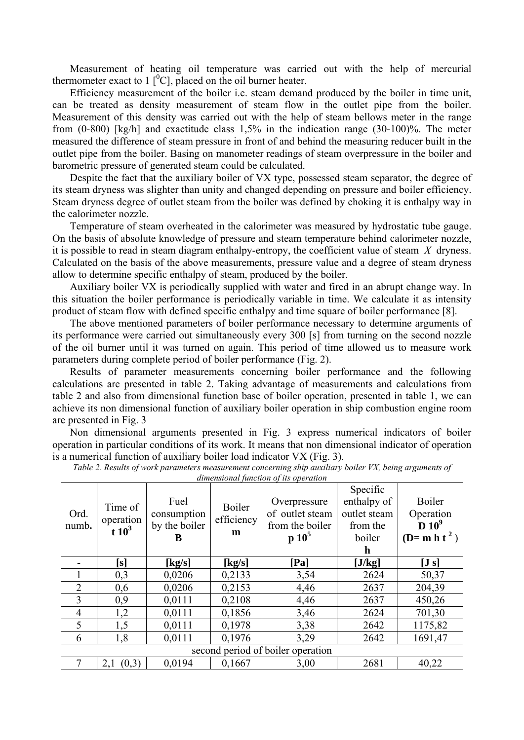Measurement of heating oil temperature was carried out with the help of mercurial thermometer exact to 1  $[{}^{0}C]$ , placed on the oil burner heater.

Efficiency measurement of the boiler i.e. steam demand produced by the boiler in time unit, can be treated as density measurement of steam flow in the outlet pipe from the boiler. Measurement of this density was carried out with the help of steam bellows meter in the range from (0-800) [kg/h] and exactitude class 1,5% in the indication range (30-100)%. The meter measured the difference of steam pressure in front of and behind the measuring reducer built in the outlet pipe from the boiler. Basing on manometer readings of steam overpressure in the boiler and barometric pressure of generated steam could be calculated.

Despite the fact that the auxiliary boiler of VX type, possessed steam separator, the degree of its steam dryness was slighter than unity and changed depending on pressure and boiler efficiency. Steam dryness degree of outlet steam from the boiler was defined by choking it is enthalpy way in the calorimeter nozzle.

Temperature of steam overheated in the calorimeter was measured by hydrostatic tube gauge. On the basis of absolute knowledge of pressure and steam temperature behind calorimeter nozzle, it is possible to read in steam diagram enthalpy-entropy, the coefficient value of steam *X* dryness. Calculated on the basis of the above measurements, pressure value and a degree of steam dryness allow to determine specific enthalpy of steam, produced by the boiler.

Auxiliary boiler VX is periodically supplied with water and fired in an abrupt change way. In this situation the boiler performance is periodically variable in time. We calculate it as intensity product of steam flow with defined specific enthalpy and time square of boiler performance [8].

The above mentioned parameters of boiler performance necessary to determine arguments of its performance were carried out simultaneously every 300 [s] from turning on the second nozzle of the oil burner until it was turned on again. This period of time allowed us to measure work parameters during complete period of boiler performance (Fig. 2).

Results of parameter measurements concerning boiler performance and the following calculations are presented in table 2. Taking advantage of measurements and calculations from table 2 and also from dimensional function base of boiler operation, presented in table 1, we can achieve its non dimensional function of auxiliary boiler operation in ship combustion engine room are presented in Fig. 3

Non dimensional arguments presented in Fig. 3 express numerical indicators of boiler operation in particular conditions of its work. It means that non dimensional indicator of operation is a numerical function of auxiliary boiler load indicator VX (Fig. 3).

| Ord.<br>numb.                     | Time of<br>operation<br>$t10^3$ | Fuel<br>consumption<br>by the boiler | Boiler<br>efficiency<br>m | almensional function of us operation<br>Overpressure<br>of outlet steam<br>from the boiler | Specific<br>enthalpy of<br>outlet steam<br>from the | Boiler<br>Operation<br>$D 10^9$ |  |
|-----------------------------------|---------------------------------|--------------------------------------|---------------------------|--------------------------------------------------------------------------------------------|-----------------------------------------------------|---------------------------------|--|
|                                   |                                 | B                                    |                           | $p 10^5$                                                                                   | boiler<br>h                                         | (D= m h t <sup>2</sup> )        |  |
|                                   | $\bm{\left[\mathrm{s}\right]}$  | [kg/s]                               | [kg/s]                    | [Pa]                                                                                       | [J/kg]                                              | [J s]                           |  |
|                                   | 0,3                             | 0,0206                               | 0,2133                    | 3,54                                                                                       | 2624                                                | 50,37                           |  |
| $\overline{2}$                    | 0,6                             | 0,0206                               | 0,2153                    | 4,46                                                                                       | 2637                                                | 204,39                          |  |
| 3                                 | 0,9                             | 0,0111                               | 0,2108                    | 4,46                                                                                       | 2637                                                | 450,26                          |  |
| $\overline{4}$                    | 1,2                             | 0,0111                               | 0,1856                    | 3,46                                                                                       | 2624                                                | 701,30                          |  |
| 5                                 | 1,5                             | 0,0111                               | 0,1978                    | 3,38                                                                                       | 2642                                                | 1175,82                         |  |
| 6                                 | 1,8                             | 0,0111                               | 0,1976                    | 3,29                                                                                       | 2642                                                | 1691,47                         |  |
| second period of boiler operation |                                 |                                      |                           |                                                                                            |                                                     |                                 |  |
|                                   | (0,3)<br>2,1                    | 0,0194                               | 0,1667                    | 3,00                                                                                       | 2681                                                | 40,22                           |  |

*Table 2. Results of work parameters measurement concerning ship auxiliary boiler VX, being arguments of* 

*dimensional function of its operation*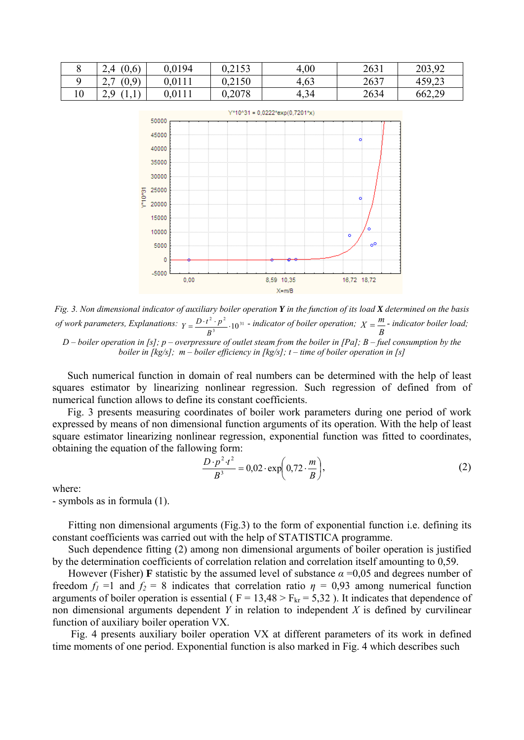|    | (0,6)<br>2.4           | 0,0194 | 0,2153 | 4,00 | 2631 | 203.92<br>203.72 |
|----|------------------------|--------|--------|------|------|------------------|
|    | (0, 0)<br>U, Z<br>∠. ۱ | 0,0111 | 0,2150 | 4,63 | 2637 | 459,23           |
| 10 | - Q<br>ريم<br>.        | 0,0111 | 0,2078 | 4,34 | 2634 | 662,29           |



*Fig. 3. Non dimensional indicator of auxiliary boiler operation Y in the function of its load X determined on the basis of work parameters, Explanations:*  $Y = \frac{D \cdot t^2 \cdot p^2}{R^3} \cdot 10^{31}$  $Y = \frac{D \cdot t^2 \cdot p^2}{B^3} \cdot 10^{31}$  - *indicator of boiler operation;*  $X = \frac{m}{B}$  - *indicator boiler load; D – boiler operation in [s]; p – overpressure of outlet steam from the boiler in [Pa]; B – fuel consumption by the boiler in [kg/s]; m – boiler efficiency in [kg/s]; t – time of boiler operation in [s]* 

Such numerical function in domain of real numbers can be determined with the help of least squares estimator by linearizing nonlinear regression. Such regression of defined from of numerical function allows to define its constant coefficients.

Fig. 3 presents measuring coordinates of boiler work parameters during one period of work expressed by means of non dimensional function arguments of its operation. With the help of least square estimator linearizing nonlinear regression, exponential function was fitted to coordinates, obtaining the equation of the fallowing form:

$$
\frac{D \cdot p^2 \cdot t^2}{B^3} = 0.02 \cdot \exp\left(0.72 \cdot \frac{m}{B}\right),\tag{2}
$$

where:

- symbols as in formula (1).

Fitting non dimensional arguments (Fig.3) to the form of exponential function i.e. defining its constant coefficients was carried out with the help of STATISTICA programme.

Such dependence fitting (2) among non dimensional arguments of boiler operation is justified by the determination coefficients of correlation relation and correlation itself amounting to 0,59.

However (Fisher) **F** statistic by the assumed level of substance *α* =0,05 and degrees number of freedom  $f_1 = 1$  and  $f_2 = 8$  indicates that correlation ratio  $\eta = 0.93$  among numerical function arguments of boiler operation is essential ( $F = 13,48 > F_{kr} = 5,32$ ). It indicates that dependence of non dimensional arguments dependent *Y* in relation to independent *X* is defined by curvilinear function of auxiliary boiler operation VX.

 Fig. 4 presents auxiliary boiler operation VX at different parameters of its work in defined time moments of one period. Exponential function is also marked in Fig. 4 which describes such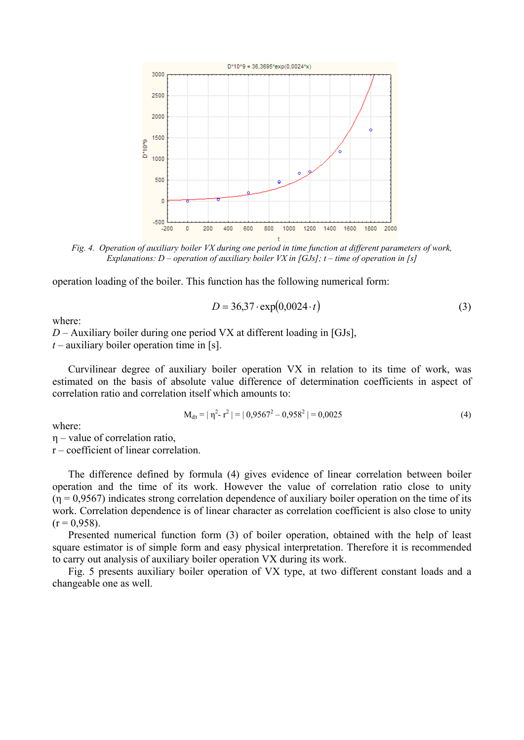

*Fig. 4. Operation of auxiliary boiler VX during one period in time function at different parameters of work, Explanations: D – operation of auxiliary boiler VX in [GJs]; t – time of operation in [s]* 

operation loading of the boiler. This function has the following numerical form:

$$
D = 36,37 \cdot \exp(0,0024 \cdot t) \tag{3}
$$

where:

*D* – Auxiliary boiler during one period VX at different loading in [GJs],

*t* – auxiliary boiler operation time in [s].

Curvilinear degree of auxiliary boiler operation VX in relation to its time of work, was estimated on the basis of absolute value difference of determination coefficients in aspect of correlation ratio and correlation itself which amounts to:

$$
M_{\text{d}|t} = |\eta^2 - r^2| = |0.9567^2 - 0.958^2| = 0.0025
$$
 (4)

where:

η – value of correlation ratio,

r – coefficient of linear correlation.

The difference defined by formula (4) gives evidence of linear correlation between boiler operation and the time of its work. However the value of correlation ratio close to unity  $(n = 0.9567)$  indicates strong correlation dependence of auxiliary boiler operation on the time of its work. Correlation dependence is of linear character as correlation coefficient is also close to unity  $(r = 0.958)$ .

Presented numerical function form (3) of boiler operation, obtained with the help of least square estimator is of simple form and easy physical interpretation. Therefore it is recommended to carry out analysis of auxiliary boiler operation VX during its work.

Fig. 5 presents auxiliary boiler operation of VX type, at two different constant loads and a changeable one as well.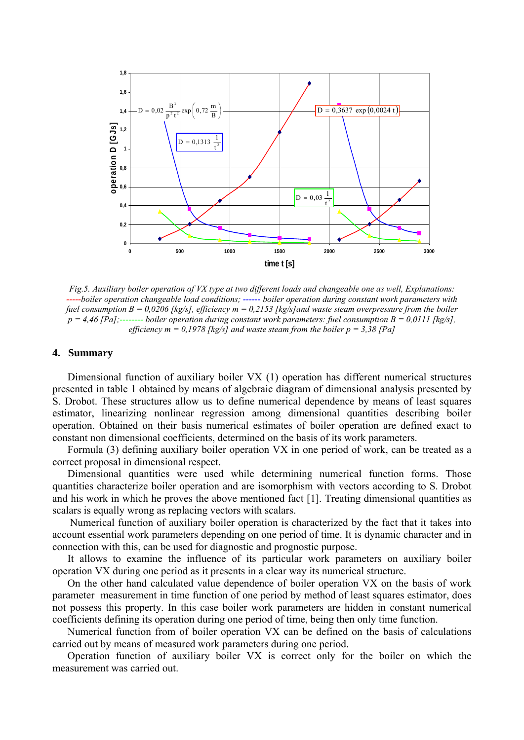

*Fig.5. Auxiliary boiler operation of VX type at two different loads and changeable one as well, Explanations: -----boiler operation changeable load conditions; ------ boiler operation during constant work parameters with fuel consumption B = 0,0206 [kg/s], efficiency m = 0,2153 [kg/s]and waste steam overpressure from the boiler p = 4,46 [Pa];-------- boiler operation during constant work parameters: fuel consumption B = 0,0111 [kg/s], efficiency m = 0,1978 [kg/s] and waste steam from the boiler p = 3,38 [Pa]* 

#### **4. Summary**

Dimensional function of auxiliary boiler VX (1) operation has different numerical structures presented in table 1 obtained by means of algebraic diagram of dimensional analysis presented by S. Drobot. These structures allow us to define numerical dependence by means of least squares estimator, linearizing nonlinear regression among dimensional quantities describing boiler operation. Obtained on their basis numerical estimates of boiler operation are defined exact to constant non dimensional coefficients, determined on the basis of its work parameters.

Formula (3) defining auxiliary boiler operation VX in one period of work, can be treated as a correct proposal in dimensional respect.

Dimensional quantities were used while determining numerical function forms. Those quantities characterize boiler operation and are isomorphism with vectors according to S. Drobot and his work in which he proves the above mentioned fact [1]. Treating dimensional quantities as scalars is equally wrong as replacing vectors with scalars.

 Numerical function of auxiliary boiler operation is characterized by the fact that it takes into account essential work parameters depending on one period of time. It is dynamic character and in connection with this, can be used for diagnostic and prognostic purpose.

It allows to examine the influence of its particular work parameters on auxiliary boiler operation VX during one period as it presents in a clear way its numerical structure.

On the other hand calculated value dependence of boiler operation VX on the basis of work parameter measurement in time function of one period by method of least squares estimator, does not possess this property. In this case boiler work parameters are hidden in constant numerical coefficients defining its operation during one period of time, being then only time function.

Numerical function from of boiler operation VX can be defined on the basis of calculations carried out by means of measured work parameters during one period.

Operation function of auxiliary boiler VX is correct only for the boiler on which the measurement was carried out.